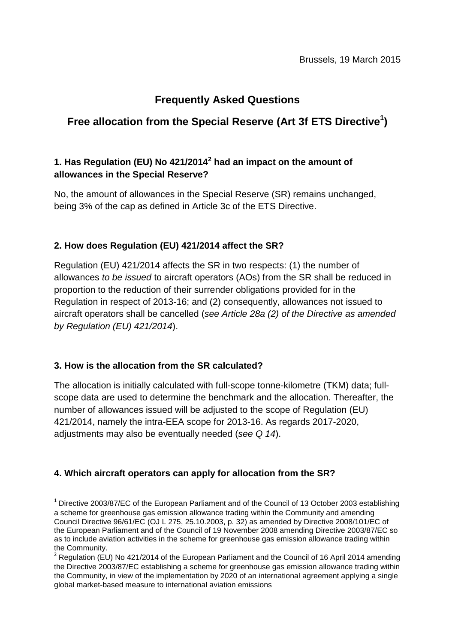# **Frequently Asked Questions**

# **Free allocation from the Special Reserve (Art 3f ETS Directive<sup>1</sup> )**

# **1. Has Regulation (EU) No 421/2014<sup>2</sup> had an impact on the amount of allowances in the Special Reserve?**

No, the amount of allowances in the Special Reserve (SR) remains unchanged, being 3% of the cap as defined in Article 3c of the ETS Directive.

# **2. How does Regulation (EU) 421/2014 affect the SR?**

Regulation (EU) 421/2014 affects the SR in two respects: (1) the number of allowances *to be issued* to aircraft operators (AOs) from the SR shall be reduced in proportion to the reduction of their surrender obligations provided for in the Regulation in respect of 2013-16; and (2) consequently, allowances not issued to aircraft operators shall be cancelled (*see Article 28a (2) of the Directive as amended by Regulation (EU) 421/2014*).

#### **3. How is the allocation from the SR calculated?**

1

The allocation is initially calculated with full-scope tonne-kilometre (TKM) data; fullscope data are used to determine the benchmark and the allocation. Thereafter, the number of allowances issued will be adjusted to the scope of Regulation (EU) 421/2014, namely the intra-EEA scope for 2013-16. As regards 2017-2020, adjustments may also be eventually needed (*see Q 14*).

# **4. Which aircraft operators can apply for allocation from the SR?**

 $1$  Directive 2003/87/EC of the European Parliament and of the Council of 13 October 2003 establishing a scheme for greenhouse gas emission allowance trading within the Community and amending Council Directive 96/61/EC (OJ L 275, 25.10.2003, p. 32) as amended by Directive 2008/101/EC of the European Parliament and of the Council of 19 November 2008 amending Directive 2003/87/EC so as to include aviation activities in the scheme for greenhouse gas emission allowance trading within the Community.

<sup>&</sup>lt;sup>2</sup> Regulation (EU) No 421/2014 of the European Parliament and the Council of 16 April 2014 amending the Directive 2003/87/EC establishing a scheme for greenhouse gas emission allowance trading within the Community, in view of the implementation by 2020 of an international agreement applying a single global market-based measure to international aviation emissions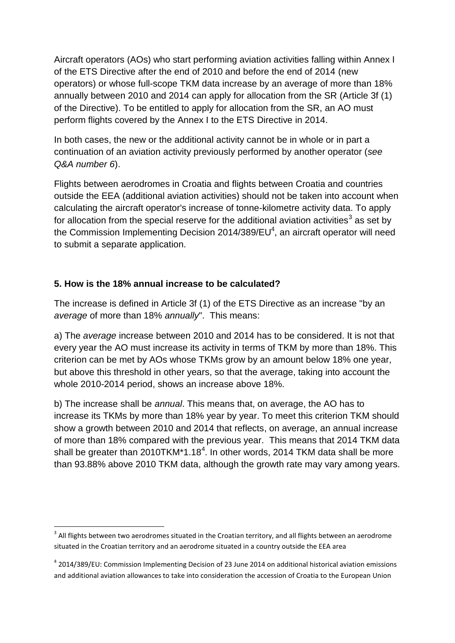Aircraft operators (AOs) who start performing aviation activities falling within Annex I of the ETS Directive after the end of 2010 and before the end of 2014 (new operators) or whose full-scope TKM data increase by an average of more than 18% annually between 2010 and 2014 can apply for allocation from the SR (Article 3f (1) of the Directive). To be entitled to apply for allocation from the SR, an AO must perform flights covered by the Annex I to the ETS Directive in 2014.

In both cases, the new or the additional activity cannot be in whole or in part a continuation of an aviation activity previously performed by another operator (*see Q&A number 6*).

Flights between aerodromes in Croatia and flights between Croatia and countries outside the EEA (additional aviation activities) should not be taken into account when calculating the aircraft operator's increase of tonne-kilometre activity data. To apply for allocation from the special reserve for the additional aviation activities<sup>3</sup> as set by the Commission Implementing Decision 2014/389/EU<sup>4</sup>, an aircraft operator will need to submit a separate application.

## **5. How is the 18% annual increase to be calculated?**

1

The increase is defined in Article 3f (1) of the ETS Directive as an increase "by an *average* of more than 18% *annually*". This means:

a) The *average* increase between 2010 and 2014 has to be considered. It is not that every year the AO must increase its activity in terms of TKM by more than 18%. This criterion can be met by AOs whose TKMs grow by an amount below 18% one year, but above this threshold in other years, so that the average, taking into account the whole 2010-2014 period, shows an increase above 18%.

b) The increase shall be *annual*. This means that, on average, the AO has to increase its TKMs by more than 18% year by year. To meet this criterion TKM should show a growth between 2010 and 2014 that reflects, on average, an annual increase of more than 18% compared with the previous year. This means that 2014 TKM data shall be greater than 2010TKM\*1.18<sup>4</sup>. In other words, 2014 TKM data shall be more than 93.88% above 2010 TKM data, although the growth rate may vary among years.

 $3$  All flights between two aerodromes situated in the Croatian territory, and all flights between an aerodrome situated in the Croatian territory and an aerodrome situated in a country outside the EEA area

<sup>&</sup>lt;sup>4</sup> 2014/389/EU: Commission Implementing Decision of 23 June 2014 on additional historical aviation emissions [and additional aviation allowances to take into consideration the accession of Croatia to the European Union](http://eur-lex.europa.eu/legal-content/EN/TXT/?uri=uriserv:OJ.L_.2014.183.01.0135.01.ENG)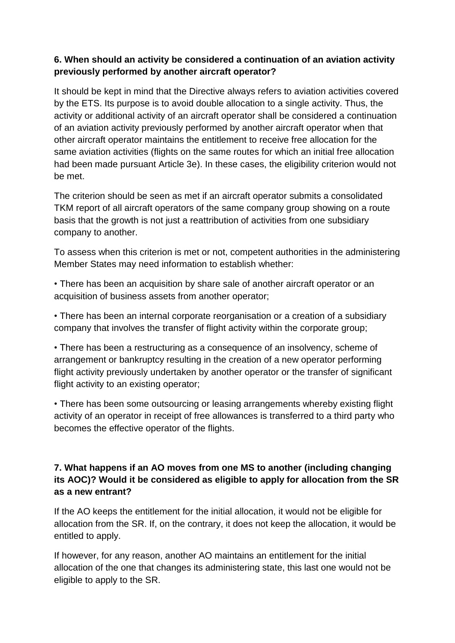# **6. When should an activity be considered a continuation of an aviation activity previously performed by another aircraft operator?**

It should be kept in mind that the Directive always refers to aviation activities covered by the ETS. Its purpose is to avoid double allocation to a single activity. Thus, the activity or additional activity of an aircraft operator shall be considered a continuation of an aviation activity previously performed by another aircraft operator when that other aircraft operator maintains the entitlement to receive free allocation for the same aviation activities (flights on the same routes for which an initial free allocation had been made pursuant Article 3e). In these cases, the eligibility criterion would not be met.

The criterion should be seen as met if an aircraft operator submits a consolidated TKM report of all aircraft operators of the same company group showing on a route basis that the growth is not just a reattribution of activities from one subsidiary company to another.

To assess when this criterion is met or not, competent authorities in the administering Member States may need information to establish whether:

• There has been an acquisition by share sale of another aircraft operator or an acquisition of business assets from another operator;

• There has been an internal corporate reorganisation or a creation of a subsidiary company that involves the transfer of flight activity within the corporate group;

• There has been a restructuring as a consequence of an insolvency, scheme of arrangement or bankruptcy resulting in the creation of a new operator performing flight activity previously undertaken by another operator or the transfer of significant flight activity to an existing operator;

• There has been some outsourcing or leasing arrangements whereby existing flight activity of an operator in receipt of free allowances is transferred to a third party who becomes the effective operator of the flights.

# **7. What happens if an AO moves from one MS to another (including changing its AOC)? Would it be considered as eligible to apply for allocation from the SR as a new entrant?**

If the AO keeps the entitlement for the initial allocation, it would not be eligible for allocation from the SR. If, on the contrary, it does not keep the allocation, it would be entitled to apply.

If however, for any reason, another AO maintains an entitlement for the initial allocation of the one that changes its administering state, this last one would not be eligible to apply to the SR.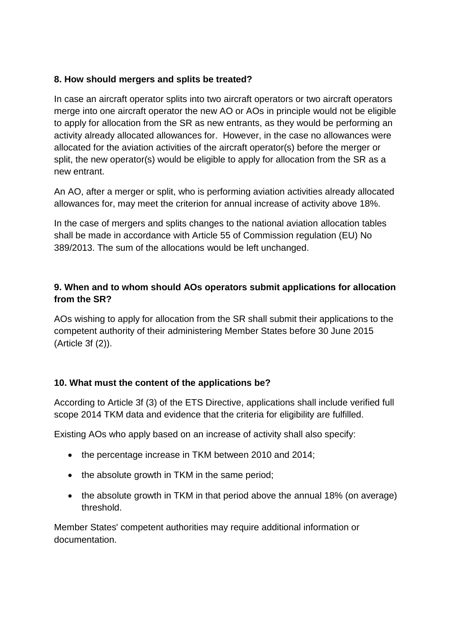#### **8. How should mergers and splits be treated?**

In case an aircraft operator splits into two aircraft operators or two aircraft operators merge into one aircraft operator the new AO or AOs in principle would not be eligible to apply for allocation from the SR as new entrants, as they would be performing an activity already allocated allowances for. However, in the case no allowances were allocated for the aviation activities of the aircraft operator(s) before the merger or split, the new operator(s) would be eligible to apply for allocation from the SR as a new entrant.

An AO, after a merger or split, who is performing aviation activities already allocated allowances for, may meet the criterion for annual increase of activity above 18%.

In the case of mergers and splits changes to the national aviation allocation tables shall be made in accordance with Article 55 of Commission regulation (EU) No 389/2013. The sum of the allocations would be left unchanged.

## **9. When and to whom should AOs operators submit applications for allocation from the SR?**

AOs wishing to apply for allocation from the SR shall submit their applications to the competent authority of their administering Member States before 30 June 2015 (Article 3f (2)).

#### **10. What must the content of the applications be?**

According to Article 3f (3) of the ETS Directive, applications shall include verified full scope 2014 TKM data and evidence that the criteria for eligibility are fulfilled.

Existing AOs who apply based on an increase of activity shall also specify:

- the percentage increase in TKM between 2010 and 2014;
- the absolute growth in TKM in the same period;
- the absolute growth in TKM in that period above the annual 18% (on average) threshold.

Member States' competent authorities may require additional information or documentation.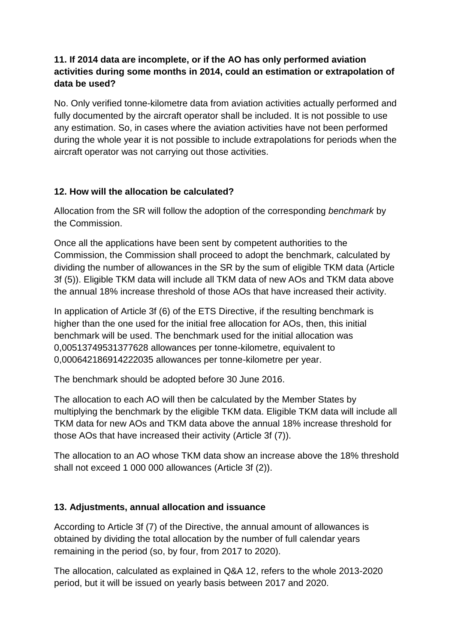# **11. If 2014 data are incomplete, or if the AO has only performed aviation activities during some months in 2014, could an estimation or extrapolation of data be used?**

No. Only verified tonne-kilometre data from aviation activities actually performed and fully documented by the aircraft operator shall be included. It is not possible to use any estimation. So, in cases where the aviation activities have not been performed during the whole year it is not possible to include extrapolations for periods when the aircraft operator was not carrying out those activities.

## **12. How will the allocation be calculated?**

Allocation from the SR will follow the adoption of the corresponding *benchmark* by the Commission.

Once all the applications have been sent by competent authorities to the Commission, the Commission shall proceed to adopt the benchmark, calculated by dividing the number of allowances in the SR by the sum of eligible TKM data (Article 3f (5)). Eligible TKM data will include all TKM data of new AOs and TKM data above the annual 18% increase threshold of those AOs that have increased their activity.

In application of Article 3f (6) of the ETS Directive, if the resulting benchmark is higher than the one used for the initial free allocation for AOs, then, this initial benchmark will be used. The benchmark used for the initial allocation was 0,00513749531377628 allowances per tonne-kilometre, equivalent to 0,000642186914222035 allowances per tonne-kilometre per year.

The benchmark should be adopted before 30 June 2016.

The allocation to each AO will then be calculated by the Member States by multiplying the benchmark by the eligible TKM data. Eligible TKM data will include all TKM data for new AOs and TKM data above the annual 18% increase threshold for those AOs that have increased their activity (Article 3f (7)).

The allocation to an AO whose TKM data show an increase above the 18% threshold shall not exceed 1 000 000 allowances (Article 3f (2)).

# **13. Adjustments, annual allocation and issuance**

According to Article 3f (7) of the Directive, the annual amount of allowances is obtained by dividing the total allocation by the number of full calendar years remaining in the period (so, by four, from 2017 to 2020).

The allocation, calculated as explained in Q&A 12, refers to the whole 2013-2020 period, but it will be issued on yearly basis between 2017 and 2020.